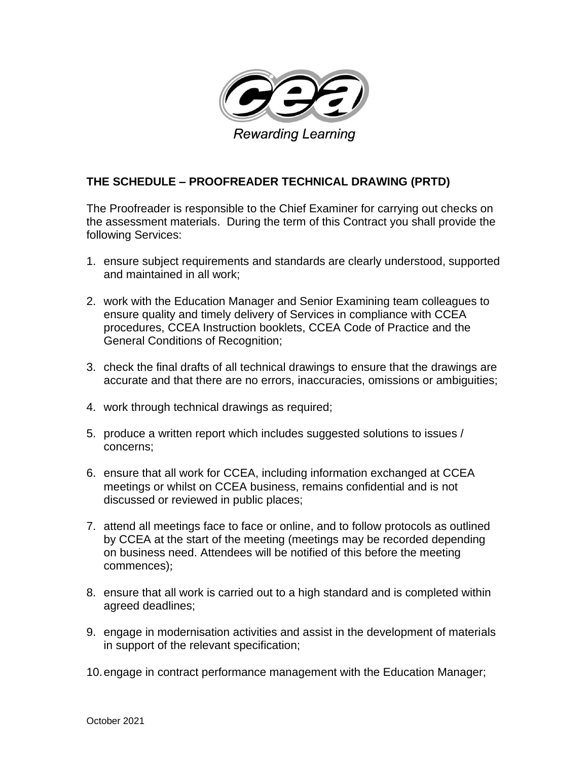

## **THE SCHEDULE – PROOFREADER TECHNICAL DRAWING (PRTD)**

The Proofreader is responsible to the Chief Examiner for carrying out checks on the assessment materials. During the term of this Contract you shall provide the following Services:

- 1. ensure subject requirements and standards are clearly understood, supported and maintained in all work;
- 2. work with the Education Manager and Senior Examining team colleagues to ensure quality and timely delivery of Services in compliance with CCEA procedures, CCEA Instruction booklets, CCEA Code of Practice and the General Conditions of Recognition;
- 3. check the final drafts of all technical drawings to ensure that the drawings are accurate and that there are no errors, inaccuracies, omissions or ambiguities;
- 4. work through technical drawings as required;
- 5. produce a written report which includes suggested solutions to issues / concerns;
- 6. ensure that all work for CCEA, including information exchanged at CCEA meetings or whilst on CCEA business, remains confidential and is not discussed or reviewed in public places;
- 7. attend all meetings face to face or online, and to follow protocols as outlined by CCEA at the start of the meeting (meetings may be recorded depending on business need. Attendees will be notified of this before the meeting commences);
- 8. ensure that all work is carried out to a high standard and is completed within agreed deadlines;
- 9. engage in modernisation activities and assist in the development of materials in support of the relevant specification;
- 10.engage in contract performance management with the Education Manager;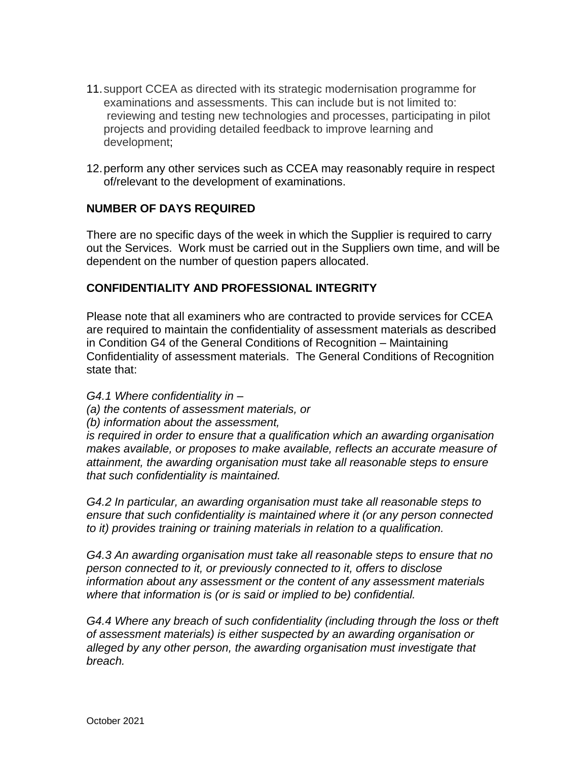- 11.support CCEA as directed with its strategic modernisation programme for examinations and assessments. This can include but is not limited to: reviewing and testing new technologies and processes, participating in pilot projects and providing detailed feedback to improve learning and development;
- 12.perform any other services such as CCEA may reasonably require in respect of/relevant to the development of examinations.

## **NUMBER OF DAYS REQUIRED**

There are no specific days of the week in which the Supplier is required to carry out the Services. Work must be carried out in the Suppliers own time, and will be dependent on the number of question papers allocated.

## **CONFIDENTIALITY AND PROFESSIONAL INTEGRITY**

Please note that all examiners who are contracted to provide services for CCEA are required to maintain the confidentiality of assessment materials as described in Condition G4 of the General Conditions of Recognition – Maintaining Confidentiality of assessment materials. The General Conditions of Recognition state that:

*G4.1 Where confidentiality in –*

*(a) the contents of assessment materials, or* 

*(b) information about the assessment,* 

*is required in order to ensure that a qualification which an awarding organisation makes available, or proposes to make available, reflects an accurate measure of attainment, the awarding organisation must take all reasonable steps to ensure that such confidentiality is maintained.* 

*G4.2 In particular, an awarding organisation must take all reasonable steps to ensure that such confidentiality is maintained where it (or any person connected to it) provides training or training materials in relation to a qualification.* 

*G4.3 An awarding organisation must take all reasonable steps to ensure that no person connected to it, or previously connected to it, offers to disclose information about any assessment or the content of any assessment materials where that information is (or is said or implied to be) confidential.* 

*G4.4 Where any breach of such confidentiality (including through the loss or theft of assessment materials) is either suspected by an awarding organisation or alleged by any other person, the awarding organisation must investigate that breach.*